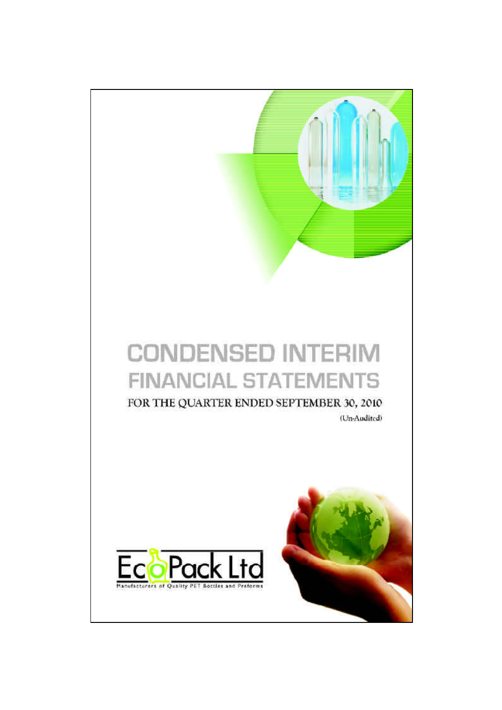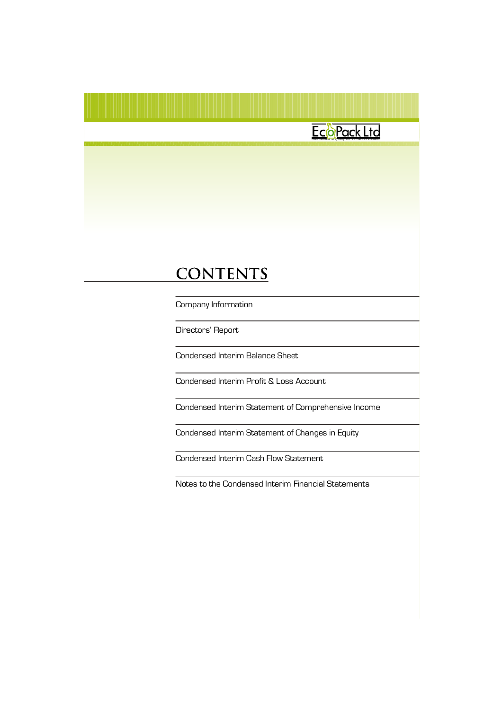### EcoPack Ltd

### **CONTENTS**

Company Information

Directors' Report

Condensed Interim Balance Sheet

Condensed Interim Profit & Loss Account

Condensed Interim Statement of Comprehensive Income

Condensed Interim Statement of Changes in Equity

Condensed Interim Cash Flow Statement

Notes to the Condensed Interim Financial Statements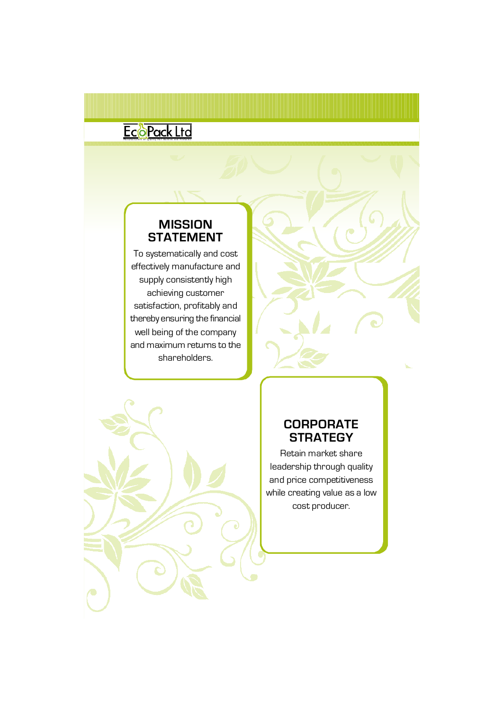### E COP Q CK L to

### **MISSION STATEMENT**

To systematically and cost effectively manufacture and supply consistently high achieving customer satisfaction, profitably and thereby ensuring the financial well being of the company and maximum returns to the shareholders.



### **CORPORATE STRATEGY**

Retain market share leadership through quality and price competitiveness while creating value as a low cost producer.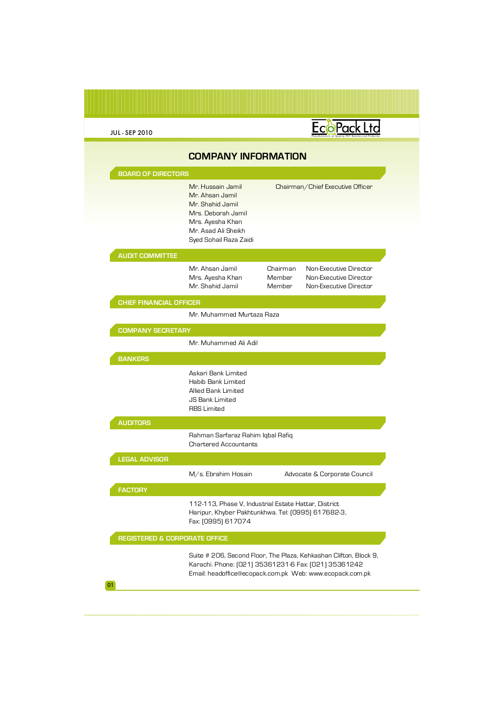|  | <b>JUL-SEP 2010</b> |  |
|--|---------------------|--|
|  |                     |  |

### EcoPack Ltd Manufacturers of Quality PET Bottles and Preforms **COMPANY INFORMATION BOARD OF DIRECTORS** Mr. Hussain Jamil Chairman/Chief Executive Officer Mr. Ahsan Jamil Mr. Shahid Jamil Mrs. Deborah Jamil Mrs. Ayesha Khan Mr. Asad Ali Sheikh Syed Sohail Raza Zaidi **AUDIT COMMITTEE** Mr. Ahsan Jamil Non-Executive Director Chairman Mrs. Ayesha Khan Member Non-Executive Director Mr. Shahid Jamil Member Non-Executive Director **CHIEF FINANCIAL OFFICER** Mr. Muhammed Murtaza Raza **COMPANY SECRETARY** Mr. Muhammed Ali Adil **BANKERS** Askari Bank Limited Habib Bank Limited Allied Bank Limited JS Bank Limited RBS Limited **AUDITORS** Rahman Sarfaraz Rahim Iqbal Rafiq Chartered Accountants **LEGAL ADVISOR** M/s. Ebrahim Hosain Advocate & Corporate Council **FACTORY** 112-113, Phase V, Industrial Estate Hattar, District Haripur, Khyber Pakhtunkhwa. Tel: (0995) 617682-3, Fax: (0995) 617074 **REGISTERED & CORPORATE OFFICE**Suite # 206, Second Floor, The Plaza, Kehkashan Clifton, Block 9,

Karachi. Phone: (021) 35361231-6 Fax: (021) 35361242 Email: headoffice@ecopack.com.pk Web: www.ecopack.com.pk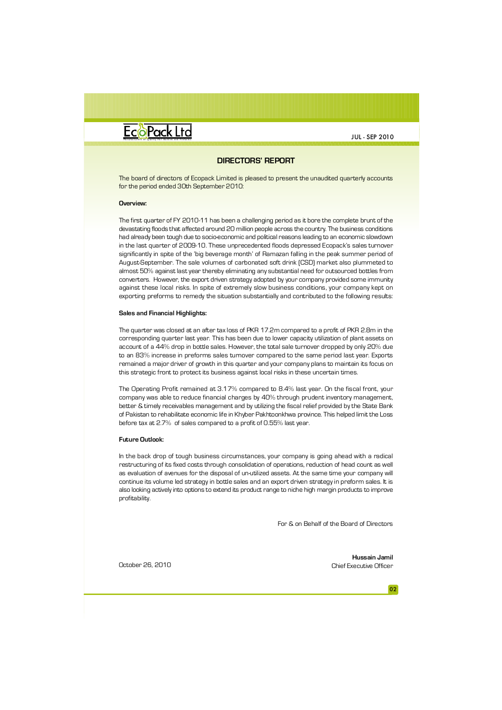

JUL - SEP 2010 JUL - SEP 2010

#### **DIRECTORS' REPORT**

**FOR THE QUARTER ENDED SEPTEMBER 30, 2010** The board of directors of Ecopack Limited is pleased to present the unaudited quarterly accounts for the period ended 30th September 2010:

#### **Overview:**

.<br>The first quarter of FY 2010-11 has been a challenging period as it bore the complete brunt of the devastating floods that affected around 20 million people across the country. The business conditions had already been tough due to socio-economic and political reasons leading to an economic slowdown Distribution cost **(14,998)** (17,690) August-September. The sale volumes of carbonated soft drink (CSD) market also plummeted to almost 50% against last year thereby eliminating any substantial need for outsourced bottles from against these local risks. In spite of extremely slow business conditions, your company kept on **(21,056)** (26,584) exporting preforms to remedy the situation substantially and contributed to the following results: **DIRECTORS' REPORT**<br>
Limited is pleased to present the unaudited quarterly accounts<br>
are 2010:<br>
absets a challenging period as it bore the complete brunc of the<br>
are a challenging period as it bore the complete brunc of th in the last quarter of 2009-10. These unprecedented floods depressed Ecopack's sales turnover significantly in spite of the 'big beverage month' of Ramazan falling in the peak summer period of converters. However, the export driven strategy adopted by your company provided some immunity

#### **Profit from operations 13,860** 45,993 **Sales andFinancial Highlights:**

The quarter was closed at an after tax loss of PKR 17.2m compared to a profit of PKR 2.8m in the **Profit /(Loss) before taxation (11,984)** 2,970 account of a 44% drop in bottle sales. However, the total sale turnover dropped by only 20% due remained a major driver of growth in this quarter and your company plans to maintain its focus on corresponding quarter last year. This has been due to lower capacity utilization of plant assets on to an 83% increase in preforms sales turnover compared to the same period last year. Exports this strategic front to protect its business against local risks in these uncertain times.

company was able to reduce financial charges by 40% through prudent inventory management, of Pakistan to rehabilitate economic life in Khyber Pakhtoonkhwa province. This helped limit the Loss<br>of Pakistan to rehabilitate economic life in Khyber Pakhtoonkhwa province. This helped limit the Loss The Operating Profit remained at 3.17% compared to 8.4% last year. On the fiscal front, your better & timely receivables management and by utilizing the fiscal relief provided by the State Bank before tax at 2.7% of sales compared to a profit of 0.55% last year.

#### **Future Outlook:**

In the back drop of tough business circumstances, your company is going ahead with a radical restructuring of its fixed costs through consolidation of operations, reduction of head count as well as evaluation of avenues for the disposal of un-utilized assets. At the same time your company will continue its volume led strategy in bottle sales and an export driven strategy in preform sales. It is also looking actively into options to extend its product range to niche high margin products to improve profitability.

For & on Behalf of the Board of Directors

**Hussain Jamil** October 26, 2010 Chief Executive Officer

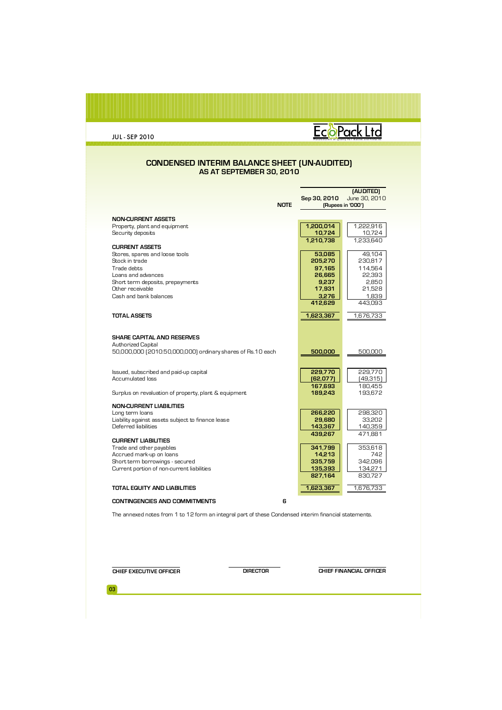### ECOPack Ltd

#### **CONDENSED INTERIM BALANCE SHEET (UN-AUDITED) AS AT SEPTEMBER 30, 2010**

|                                                            |              | (AUDITED)         |
|------------------------------------------------------------|--------------|-------------------|
|                                                            | Sep 30, 2010 | June 30, 2010     |
| <b>NOTE</b>                                                |              | (Rupees in '000') |
|                                                            |              |                   |
| <b>NON-CURRENT ASSETS</b>                                  |              |                   |
| Property, plant and equipment                              | 1,200,014    | 1,222,916         |
| Security deposits                                          | 10,724       | 10,724            |
|                                                            | 1.210.738    | 1.233.640         |
| <b>CURRENT ASSETS</b>                                      |              |                   |
| Stores, spares and loose tools                             | 53,085       | 49.104            |
| Stock in trade                                             | 205,270      | 230,817           |
| Trade debts                                                | 97,165       | 114,564           |
| Loans and advances                                         | 26,665       | 22,393            |
| Short term deposits, prepayments                           | 9,237        | 2,850             |
| Other receivable                                           | 17,931       | 21,528            |
| Cash and bank balances                                     | 3.276        | 1.839             |
|                                                            | 412,629      | 443,093           |
|                                                            |              |                   |
| <b>TOTAL ASSETS</b>                                        | 1,623,367    | 1,676,733         |
|                                                            |              |                   |
|                                                            |              |                   |
| <b>SHARE CAPITAL AND RESERVES</b>                          |              |                   |
| Authorized Capital                                         |              |                   |
| 50,000,000 (2010:50,000,000) ordinary shares of Rs.10 each | 500,000      | 500,000           |
|                                                            |              |                   |
|                                                            |              |                   |
| Issued, subscribed and paid-up capital<br>Accumulated loss | 229,770      | 229,770           |
|                                                            | (62, 077)    | [49,315]          |
|                                                            | 167,693      | 180.455           |
| Surplus on revaluation of property, plant & equipment      | 189,243      | 193.672           |
| <b>NON-CURRENT LIABILITIES</b>                             |              |                   |
| Long term loans                                            | 266,220      | 298.320           |
| Liability against assets subject to finance lease          | 29,680       | 33,202            |
| Deferred liabilities                                       | 143,367      | 140,359           |
|                                                            | 439,267      | 471.881           |
| <b>CURRENT LIABILITIES</b>                                 |              |                   |
| Trade and other payables                                   | 341,799      | 353.618           |
| Accrued mark-up on loans                                   | 14,213       | 742               |
| Short term borrowings - secured                            | 335,759      | 342.096           |
| Current portion of non-current liabilities                 | 135,393      | 134,271           |
|                                                            | 827,164      | 830,727           |
|                                                            |              |                   |
| <b>TOTAL EQUITY AND LIABILITIES</b>                        | 1,623,367    | 1,676,733         |
| <b>CONTINGENCIES AND COMMITMENTS</b><br>6                  |              |                   |

The annexed notes from 1 to 12 form an integral part of these Condensed interim financial statements.

**CHIEF EXECUTIVE OFFICER DIRECTOR DIRECTOR CHIEF FINANCIAL OFFICER**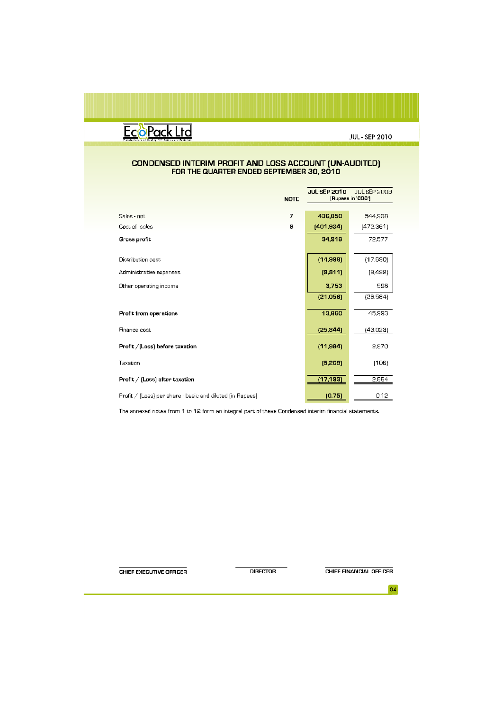

# CONDENSED INTERIM PROFIT AND LOSS ACCOUNT (UN-AUDITED)<br>FOR THE QUARTER ENDED SEPTEMBER 30, 2010

|                                                           | <b>NOTE</b>    | <b>JUL SEP 2010</b><br>JUL SEP 2009<br>(Rupees in '000') |           |  |
|-----------------------------------------------------------|----------------|----------------------------------------------------------|-----------|--|
|                                                           |                |                                                          |           |  |
| Sales net                                                 | $\overline{ }$ | 436,850                                                  | 544,938   |  |
| Cost of sales                                             | 8              | [401, 934]                                               | [472,361] |  |
| Gross profit                                              |                | 34,916                                                   | 72.577    |  |
| Distribution cast                                         |                | (14,998)                                                 | (17.690)  |  |
| Administrative expenses                                   |                | [9,811]                                                  | [9,492]   |  |
| Other operating income                                    |                | 3,753                                                    | 598       |  |
|                                                           |                | [21,056]                                                 | (26.584)  |  |
| Profit from operations                                    |                | 13,860                                                   | 45.993    |  |
| Finance cost                                              |                | [25, 844]                                                | (43.023)  |  |
| Profit / [Loss] before taxation                           |                | (11, 984)                                                | 2,970     |  |
| Taxation                                                  |                | [5, 209]                                                 | (106)     |  |
| Profit $/$ [Loss] after taxation                          |                | (17, 193]                                                | 2.864     |  |
| Profit / [Loss) per share - basic and diluted [in Rupees] |                | (0.75)                                                   | 0.12      |  |

The annexed notes from 1 to 12 form an integral part of these Condensed interim financial statements.

CHIEF EXECUTIVE OFFICER

**DIRECTOR** 

CHIEF FINANCIAL OFFICER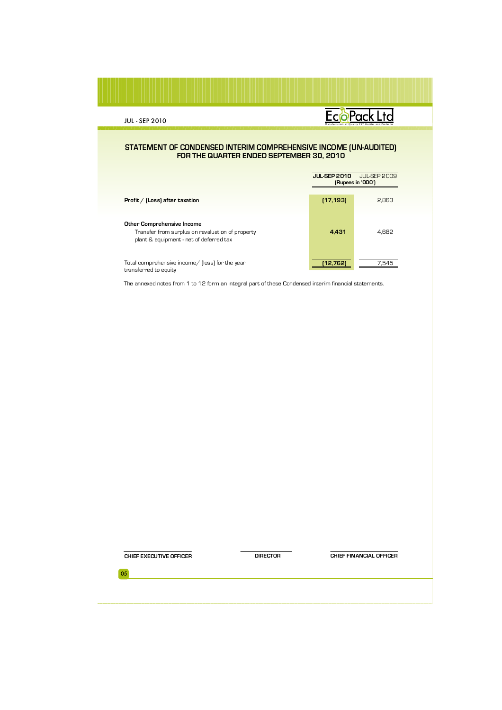### EcoPack Ltd

#### **STATEMENT OF CONDENSED INTERIM COMPREHENSIVE INCOME (UN-AUDITED) FOR THE QUARTER ENDED SEPTEMBER 30, 2010**

|                                                                                                                           | <b>JUL-SEP 2010</b> | <b>JUL-SEP 2009</b><br>[Rupees in '000'] |  |  |
|---------------------------------------------------------------------------------------------------------------------------|---------------------|------------------------------------------|--|--|
| Profit / [Loss] after taxation                                                                                            | (17, 193)           | 2.863                                    |  |  |
| Other Comprehensive Income<br>Transfer from surplus on revaluation of property<br>plant & equipment - net of deferred tax | 4.431               | 4.682                                    |  |  |
| Total comprehensive income/ (loss) for the year<br>transferred to equity                                                  | 12.7621             | 7.545                                    |  |  |

The annexed notes from 1 to 12 form an integral part of these Condensed interim financial statements.

**CHIEF EXECUTIVE OFFICER DIRECTOR DIRECTOR CHIEF FINANCIAL OFFICER**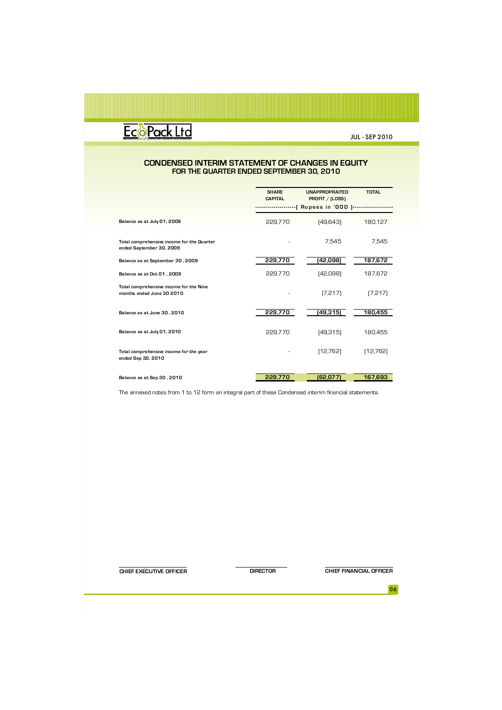### Man **Francis Community PET** Boules and Preform

JUL - SEP 2010

#### **CONDENSED INTERIM STATEMENT OF CHANGES IN EQUITY FOR THE QUARTER ENDED SEPTEMBER 30, 2010**

|                                                                        | <b>SHARE</b><br><b>CAPITAL</b> | <b>UNAPPROPRAITED</b><br>PROFIT / (LOSS) | <b>TOTAL</b> |
|------------------------------------------------------------------------|--------------------------------|------------------------------------------|--------------|
|                                                                        |                                | -[ Rupees in '000 ]--------------------  |              |
| Balance as at July 01, 2009                                            | 229,770                        | [49,643]                                 | 180,127      |
| Total comprehensive income for the Quarter<br>ended September 30, 2009 |                                | 7,545                                    | 7.545        |
| Balance as at September 30, 2009                                       | 229,770                        | 42,098)                                  | 187,672      |
| Balance as at Oct 01, 2009                                             | 229,770                        | [42,098]                                 | 187,672      |
| Total comprehensive income for the Nine<br>months ended June 30 2010   |                                | [7, 217]                                 | [7,217]      |
| Balance as at June 30, 2010                                            | 229,770                        | (49,315)                                 | 180,455      |
| Balance as at July 01, 2010                                            | 229,770                        | [49,315]                                 | 180,455      |
| Total comprehensive income for the year<br>ended Sep 30, 2010          |                                | [12,762]                                 | [12,762]     |
| Balance as at Sep 30, 2010                                             | 229.770                        | (62,077)                                 | 167,693      |
|                                                                        |                                |                                          |              |

The annexed notes from 1 to 12 form an integral part of these Condensed interim financial statements.

**CHIEF EXECUTIVE OFFICER DIRECTOR DIRECTOR CHIEF FINANCIAL OFFICER**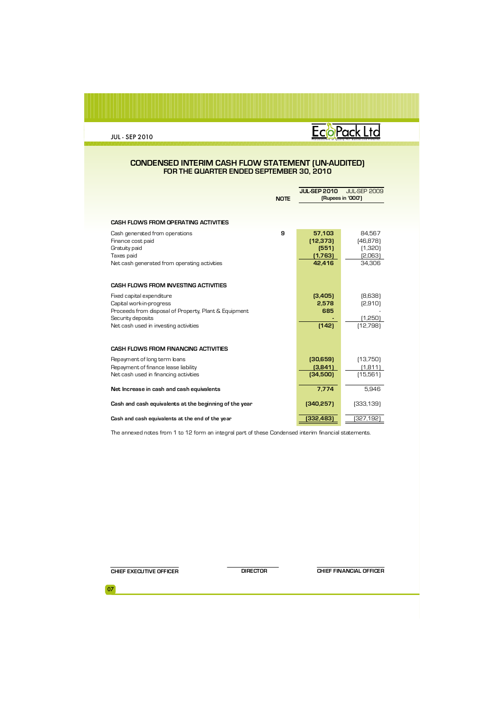# M **ECOPACK L TO**

#### **CONDENSED INTERIM CASH FLOW STATEMENT (UN-AUDITED) FOR THE QUARTER ENDED SEPTEMBER 30, 2010**

|                                                                                                                                     | <b>NOTE</b> | <b>JUL-SEP 2009</b><br><b>JUL SEP 2010</b><br>(Rupees in '000') |                                                     |
|-------------------------------------------------------------------------------------------------------------------------------------|-------------|-----------------------------------------------------------------|-----------------------------------------------------|
| <b>CASH FLOWS FROM OPERATING ACTIVITIES</b>                                                                                         |             |                                                                 |                                                     |
| Cash generated from operations<br>Finance cost paid<br>Gratuity paid<br>Taxes paid<br>Net cash generated from operating activities  | 9           | 57.103<br>(12, 373)<br>(551)<br>(1,763)<br>42,416               | 84.567<br>[46, 878]<br>(1,320)<br>[2,063]<br>34.306 |
| <b>CASH FLOWS FROM INVESTING ACTIVITIES</b>                                                                                         |             |                                                                 |                                                     |
| Fixed capital expenditure<br>Capital work-in-progress<br>Proceeds from disposal of Property, Plant & Equipment<br>Security deposits |             | (3,405)<br>2,578<br>685                                         | [8,638]<br>[2,910]<br>(1,250)                       |
| Net cash used in investing activities                                                                                               |             | [142]                                                           | (12,798)                                            |
| <b>CASH FLOWS FROM FINANCING ACTIVITIES</b>                                                                                         |             |                                                                 |                                                     |
| Repayment of long term loans<br>Repayment of finance lease liability<br>Net cash used in financing activities                       |             | (30,659)<br>(3,841)<br>(34,500)                                 | [13,750]<br>(1.811)<br>(15,561)                     |
| Net Increase in cash and cash equivalents                                                                                           |             | 7.774                                                           | 5.946                                               |
| Cash and cash equivalents at the beginning of the year                                                                              |             | (340, 257)                                                      | [333, 139]                                          |
| Cash and cash equivalents at the end of the year                                                                                    |             | (332,483)                                                       | (327,192                                            |

The annexed notes from 1 to 12 form an integral part of these Condensed interim financial statements.

**CHIEF EXECUTIVE OFFICER DIRECTOR CHIEF FINANCIAL OFFICER**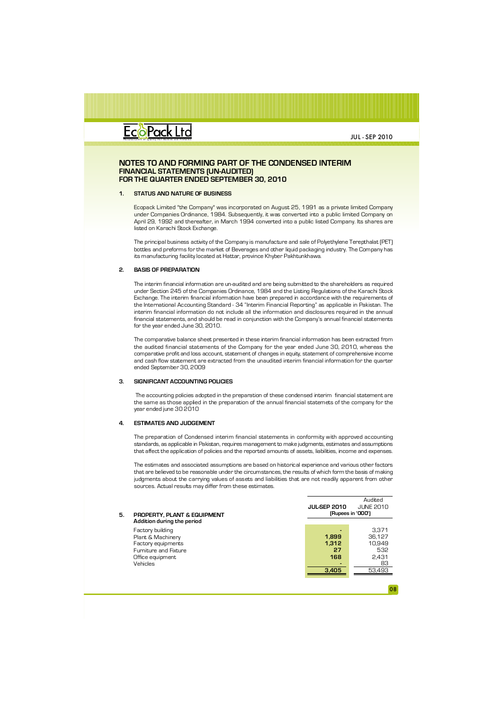

#### **NOTES TO AND FORMING PART OF THE CONDENSED INTERIM FINANCIAL STATEMENTS (UN-AUDITED) FOR THE QUARTER ENDED SEPTEMBER 30, 2010**

#### **1. STATUS AND NATURE OF BUSINESS**

Ecopack Limited "the Company" was incorporated on August 25, 1991 as a private limited Company under Companies Ordinance, 1984. Subsequently, it was converted into a public limited Company on April 29, 1992 and thereafter, in March 1994 converted into a public listed Company. Its shares are listed on Karachi Stock Exchange.

The principal business activity of the Company is manufacture and sale of Polyethylene Terepthalat (PET) bottles and preforms for the market of Beverages and other liquid packaging industry. The Company has its manufacturing facility located at Hattar, province Khyber Pakhtunkhawa.

#### **2. BASIS OF PREPARATION**

The interim financial information are un-audited and are being submitted to the shareholders as required under Section 245 of the Companies Ordinance, 1984 and the Listing Regulations of the Karachi Stock Exchange. The interim financial information have been prepared in accordance with the requirements of the International Accounting Standard - 34 "Interim Financial Reporting" as applicable in Pakistan. The interim financial information do not include all the information and disclosures required in the annual financial statements, and should be read in conjunction with the Company's annual financial statements for the year ended June 30, 2010.

The comparative balance sheet presented in these interim financial information has been extracted from the audited financial statements of the Company for the year ended June 30, 2010, whereas the comparative profit and loss account, statement of changes in equity, statement of comprehensive income and cash flow statement are extracted from the unaudited interim financial information for the quarter ended September 30, 2009

#### **3. SIGNIFICANT ACCOUNTING POLICIES**

The accounting policies adopted in the preparation of these condensed interim financial statement are the same as those applied in the preparation of the annual financial statemets of the company for the year ended june 30 2010

#### **4. ESTIMATES AND JUDGEMENT**

The preparation of Condensed interim financial statements in conformity with approved accounting standards, as applicable in Pakistan, requires management to make judgments, estimates and assumptions that affect the application of policies and the reported amounts of assets, liabilities, income and expenses.

The estimates and associated assumptions are based on historical experience and various other factors that are believed to be reasonable under the circumstances, the results of which form the basis of making judgments about the carrying values of assets and liabilities that are not readily apparent from other sources. Actual results may differ from these estimates.

|    |                             |                   | Auuru            |  |
|----|-----------------------------|-------------------|------------------|--|
|    |                             | JUL SEP 2010      | <b>JUNE 2010</b> |  |
| 5. | PROPERTY, PLANT & EQUIPMENT | (Rupees in '000') |                  |  |
|    | Addition during the period  |                   |                  |  |
|    | Factory building            |                   | 3.371            |  |
|    | Plant & Machinery           | 1.899             | 36.127           |  |
|    | Factory equipments          | 1.312             | 10.949           |  |
|    | Furniture and Fixture       | 27                | 532              |  |
|    | Office equipment            | 168               | 2.431            |  |
|    | Vehicles                    |                   | 83               |  |
|    |                             | 3.405             | 53,493           |  |
|    |                             |                   |                  |  |

 $A \cdot A$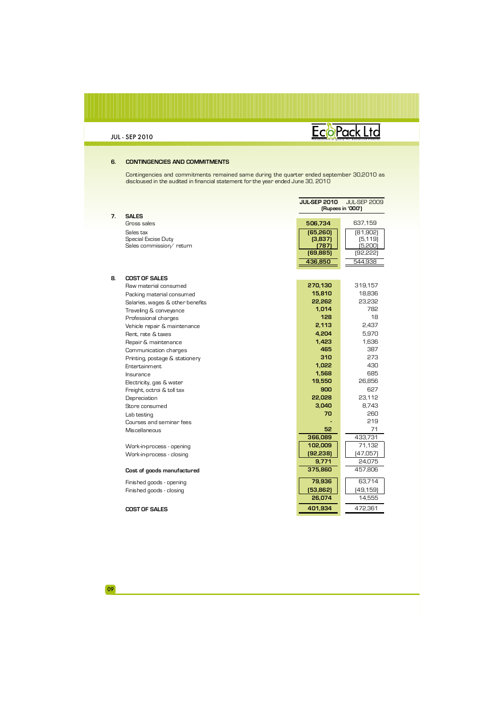## EcoPack Ltd

#### **6. CONTINGENCIES AND COMMITMENTS**

Contingencies and commitments remained same during the quarter ended september 30,2010 as discloused in the audited in financial statement for the year ended June 30, 2010

|    |                                  | <b>JULSEP 2010</b><br><b>JUL-SEP 2009</b><br>(Rupees in '000') |           |  |
|----|----------------------------------|----------------------------------------------------------------|-----------|--|
| 7. | <b>SALES</b>                     |                                                                |           |  |
|    | Gross sales                      | 506,734                                                        | 637,159   |  |
|    | Sales tax                        | (65, 260)                                                      | [81,902]  |  |
|    | Special Excise Duty              | (3,837)                                                        | [5, 119]  |  |
|    | Sales commission/ return         | (787)                                                          | (5,200)   |  |
|    |                                  | (69, 885)                                                      | [92, 222] |  |
|    |                                  | 436,850                                                        | 544,938   |  |
|    |                                  |                                                                |           |  |
| 8. | <b>COST OF SALES</b>             |                                                                |           |  |
|    | Raw material consumed            | 270,130                                                        | 319,157   |  |
|    | Packing material consumed        | 15,810                                                         | 18,836    |  |
|    | Salaries, wages & other benefits | 22,262                                                         | 23,232    |  |
|    | Traveling & conveyance           | 1,014                                                          | 782       |  |
|    | Professional charges             | 128                                                            | 18        |  |
|    | Vehicle repair & maintenance     | 2,113                                                          | 2,437     |  |
|    | Rent. rate & taxes               | 4,204                                                          | 5,970     |  |
|    | Repair & maintenance             | 1,423                                                          | 1,636     |  |
|    | Communication charges            | 465                                                            | 387       |  |
|    | Printing, postage & stationery   | 310                                                            | 273       |  |
|    | Entertainment                    | 1.022                                                          | 430       |  |
|    | Insurance                        | 1,568                                                          | 685       |  |
|    | Electricity, gas & water         | 19,550                                                         | 26,856    |  |
|    | Freight, octroi & toll tax       | 900                                                            | 627       |  |
|    | Depreciation                     | 22,028                                                         | 23,112    |  |
|    | Store consumed                   | 3,040                                                          | 8,743     |  |
|    | Lab testing                      | 70                                                             | 260       |  |
|    | Courses and seminar fees         |                                                                | 219       |  |
|    | Miscellaneous                    | 52                                                             | 71        |  |
|    |                                  | 366,089                                                        | 433.731   |  |
|    | Work-in-process - opening        | 102,009                                                        | 71,132    |  |
|    | Work-in-process - closing        | (92, 238)                                                      | [47,057]  |  |
|    |                                  | 9,771                                                          | 24,075    |  |
|    | Cost of goods manufactured       | 375,860                                                        | 457,806   |  |
|    | Finished goods - opening         | 79,936                                                         | 63,714    |  |
|    | Finished goods - closing         | (53, 862)                                                      | [49, 159] |  |
|    |                                  | 26.074                                                         | 14,555    |  |
|    | <b>COST OF SALES</b>             | 401,934                                                        | 472,361   |  |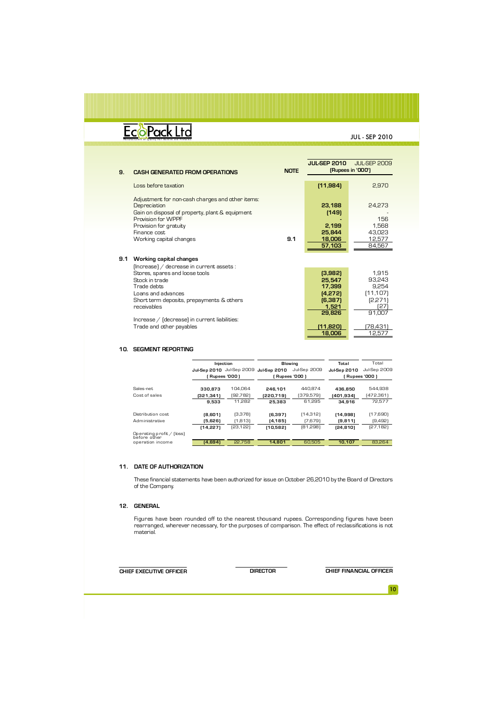### EcoPack Ltd

JUL - SEP 2010

|     |                                                  |             | JUL SEP 2010 | <b>JUL-SEP 2009</b> |
|-----|--------------------------------------------------|-------------|--------------|---------------------|
|     |                                                  | <b>NOTE</b> |              | (Rupees in '000')   |
| 9.  | <b>CASH GENERATED FROM OPERATIONS</b>            |             |              |                     |
|     |                                                  |             |              |                     |
|     | Loss before taxation                             |             | (11, 984)    | 2.970               |
|     |                                                  |             |              |                     |
|     |                                                  |             |              |                     |
|     | Adjustment for non-cash charges and other items: |             |              |                     |
|     | Depreciation                                     |             | 23.188       | 24,273              |
|     | Gain on disposal of property, plant & equipment  |             | (149)        |                     |
|     | Provision for WPPF                               |             |              | 156                 |
|     |                                                  |             |              |                     |
|     | Provision for gratuity                           |             | 2,199        | 1.568               |
|     | Finance cost                                     |             | 25.844       | 43.023              |
|     | Working capital changes                          | 9.1         | 18,006       | 12,577              |
|     |                                                  |             | 57,103       | 84,567              |
|     |                                                  |             |              |                     |
|     |                                                  |             |              |                     |
| 9.1 | Working capital changes                          |             |              |                     |
|     | (Increase) / decrease in current assets :        |             |              |                     |
|     | Stores, spares and loose tools                   |             | (3,982)      | 1.915               |
|     | Stock in trade                                   |             | 25.547       | 93,243              |
|     |                                                  |             |              |                     |
|     | Trade debts                                      |             | 17,399       | 9.254               |
|     | Loans and advances                               |             | (4,272)      | [11, 107]           |
|     | Short term deposits, prepayments & others        |             | (6, 387)     | (2,271              |
|     | receivables                                      |             | 1,521        | 127                 |
|     |                                                  |             | 29,826       | 91.007              |
|     |                                                  |             |              |                     |
|     | Increase / [decrease] in current liabilities:    |             |              |                     |
|     | Trade and other payables                         |             | (11,820)     | (78,431)            |
|     |                                                  |             | 18,006       | 12.57.              |
|     |                                                  |             |              |                     |

#### **10. SEGMENT REPORTING**

|                                           | Injection    |                 |                     | <b>Blowing</b>  | Total               | Total           |
|-------------------------------------------|--------------|-----------------|---------------------|-----------------|---------------------|-----------------|
|                                           | Jul-Sep 2010 | Jul-Sep 2009    | <b>Jul-Sep 2010</b> | Jul-Sep 2009    | <b>Jul-Sep 2010</b> | Jul-Sep 2009    |
|                                           |              | [ Rupees '000 ] |                     | [ Rupees '000 ] |                     | [ Rupees '000 ] |
| Sales-net                                 | 330.873      | 104.064         | 246.101             | 440.874         | 436.850             | 544.938         |
| Cost of sales                             | (321.341)    | (92,782)        | (220.719)           | (379,579)       | (401,934)           | (472,361)       |
|                                           | 9.533        | 11.282          | 25,383              | 61.295          | 34.916              | 72.577          |
| Distribution cost.                        | (8,601)      | (3,378)         | (6, 397)            | [14,312]        | (14, 998)           | (17,690)        |
| Administrative                            | (5,626)      | (1,813)         | (4, 185)            | [7,679]         | (9, 811)            | [9,492]         |
|                                           | (14, 227)    | (23,122)        | (10,582)            | [81,298]        | [24, 810]           | [27, 182]       |
| Operating profit / (loss)<br>before other |              |                 |                     |                 |                     |                 |
| operation income                          | (4.694)      | 22.758          | 14.801              | 60.505          | 10.107              | 83.264          |

#### **11. DATE OF AUTHORIZATION**

These financial statements have been authorized for issue on October 26,2010 by the Board of Directors of the Company.

#### **12. GENERAL**

Figures have been rounded off to the nearest thousand rupees. Corresponding figures have been rearranged, wherever necessary, for the purposes of comparison. The effect of reclassifications is not material.

**CHIEF EXECUTIVE OFFICER DIRECTOR CHIEF FINANCIAL OFFICER**